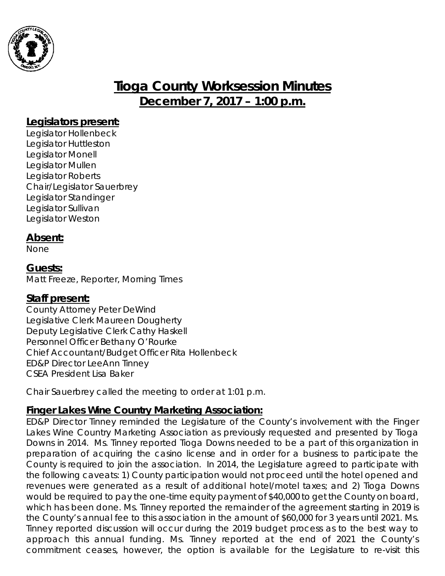

# **Tioga County Worksession Minutes December 7, 2017 – 1:00 p.m.**

### **Legislators present:**

Legislator Hollenbeck Legislator Huttleston Legislator Monell Legislator Mullen Legislator Roberts Chair/Legislator Sauerbrey Legislator Standinger Legislator Sullivan Legislator Weston

### **Absent:**

None

### **Guests:**

Matt Freeze, Reporter, Morning Times

#### **Staff present:**

County Attorney Peter DeWind Legislative Clerk Maureen Dougherty Deputy Legislative Clerk Cathy Haskell Personnel Officer Bethany O'Rourke Chief Accountant/Budget Officer Rita Hollenbeck ED&P Director LeeAnn Tinney CSEA President Lisa Baker

Chair Sauerbrey called the meeting to order at 1:01 p.m.

### **Finger Lakes Wine Country Marketing Association:**

ED&P Director Tinney reminded the Legislature of the County's involvement with the Finger Lakes Wine Country Marketing Association as previously requested and presented by Tioga Downs in 2014. Ms. Tinney reported Tioga Downs needed to be a part of this organization in preparation of acquiring the casino license and in order for a business to participate the County is required to join the association. In 2014, the Legislature agreed to participate with the following caveats: 1) County participation would not proceed until the hotel opened and revenues were generated as a result of additional hotel/motel taxes; and 2) Tioga Downs would be required to pay the one-time equity payment of \$40,000 to get the County on board, which has been done. Ms. Tinney reported the remainder of the agreement starting in 2019 is the County's annual fee to this association in the amount of \$60,000 for 3 years until 2021. Ms. Tinney reported discussion will occur during the 2019 budget process as to the best way to approach this annual funding. Ms. Tinney reported at the end of 2021 the County's commitment ceases, however, the option is available for the Legislature to re-visit this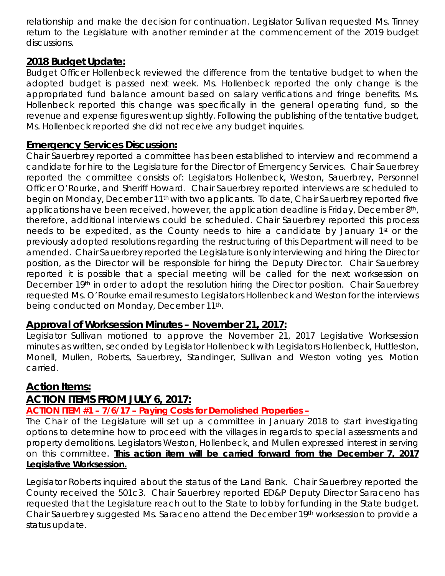relationship and make the decision for continuation. Legislator Sullivan requested Ms. Tinney return to the Legislature with another reminder at the commencement of the 2019 budget discussions.

### **2018 Budget Update:**

Budget Officer Hollenbeck reviewed the difference from the tentative budget to when the adopted budget is passed next week. Ms. Hollenbeck reported the only change is the appropriated fund balance amount based on salary verifications and fringe benefits. Ms. Hollenbeck reported this change was specifically in the general operating fund, so the revenue and expense figures went up slightly. Following the publishing of the tentative budget, Ms. Hollenbeck reported she did not receive any budget inquiries.

#### **Emergency Services Discussion:**

Chair Sauerbrey reported a committee has been established to interview and recommend a candidate for hire to the Legislature for the Director of Emergency Services. Chair Sauerbrey reported the committee consists of: Legislators Hollenbeck, Weston, Sauerbrey, Personnel Officer O'Rourke, and Sheriff Howard. Chair Sauerbrey reported interviews are scheduled to begin on Monday, December 11th with two applicants. To date, Chair Sauerbrey reported five applications have been received, however, the application deadline is Friday, December 8<sup>th</sup>, therefore, additional interviews could be scheduled. Chair Sauerbrey reported this process needs to be expedited, as the County needs to hire a candidate by January 1<sup>st</sup> or the previously adopted resolutions regarding the restructuring of this Department will need to be amended. Chair Sauerbrey reported the Legislature is only interviewing and hiring the Director position, as the Director will be responsible for hiring the Deputy Director. Chair Sauerbrey reported it is possible that a special meeting will be called for the next worksession on December 19<sup>th</sup> in order to adopt the resolution hiring the Director position. Chair Sauerbrey requested Ms. O'Rourke email resumes to Legislators Hollenbeck and Weston for the interviews being conducted on Monday, December 11th.

#### **Approval of Worksession Minutes – November 21, 2017:**

Legislator Sullivan motioned to approve the November 21, 2017 Legislative Worksession minutes as written, seconded by Legislator Hollenbeck with Legislators Hollenbeck, Huttleston, Monell, Mullen, Roberts, Sauerbrey, Standinger, Sullivan and Weston voting yes. Motion carried.

### **Action Items:**

# **ACTION ITEMS FROM JULY 6, 2017:**

#### **ACTION ITEM #1 – 7/6/17 – Paying Costs for Demolished Properties –**

The Chair of the Legislature will set up a committee in January 2018 to start investigating options to determine how to proceed with the villages in regards to special assessments and property demolitions. Legislators Weston, Hollenbeck, and Mullen expressed interest in serving on this committee. **This action item will be carried forward from the December 7, 2017 Legislative Worksession.**

Legislator Roberts inquired about the status of the Land Bank. Chair Sauerbrey reported the County received the 501c3. Chair Sauerbrey reported ED&P Deputy Director Saraceno has requested that the Legislature reach out to the State to lobby for funding in the State budget. Chair Sauerbrey suggested Ms. Saraceno attend the December 19th worksession to provide a status update.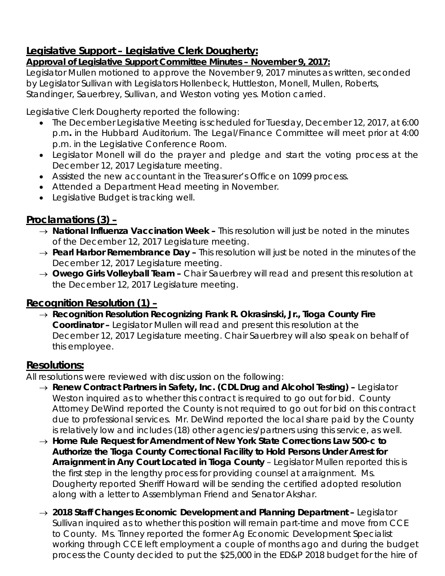# **Legislative Support – Legislative Clerk Dougherty:**

### *Approval of Legislative Support Committee Minutes – November 9, 2017:*

Legislator Mullen motioned to approve the November 9, 2017 minutes as written, seconded by Legislator Sullivan with Legislators Hollenbeck, Huttleston, Monell, Mullen, Roberts, Standinger, Sauerbrey, Sullivan, and Weston voting yes. Motion carried.

Legislative Clerk Dougherty reported the following:

- The December Legislative Meeting is scheduled for Tuesday, December 12, 2017, at 6:00 p.m*.* in the Hubbard Auditorium. The Legal/Finance Committee will meet prior at 4:00 p.m. in the Legislative Conference Room.
- Legislator Monell will do the prayer and pledge and start the voting process at the December 12, 2017 Legislature meeting.
- Assisted the new accountant in the Treasurer's Office on 1099 process.
- Attended a Department Head meeting in November.
- Legislative Budget is tracking well.

# **Proclamations (3) –**

- → *National Influenza Vaccination Week –* This resolution will just be noted in the minutes of the December 12, 2017 Legislature meeting.
- → *Pearl Harbor Remembrance Day –* This resolution will just be noted in the minutes of the December 12, 2017 Legislature meeting.
- → *Owego Girls Volleyball Team –* Chair Sauerbrey will read and present this resolution at the December 12, 2017 Legislature meeting.

# **Recognition Resolution (1) –**

→ *Recognition Resolution Recognizing Frank R. Okrasinski, Jr., Tioga County Fire Coordinator –* Legislator Mullen will read and present this resolution at the December 12, 2017 Legislature meeting. Chair Sauerbrey will also speak on behalf of this employee.

# **Resolutions:**

All resolutions were reviewed with discussion on the following:

- → *Renew Contract Partners in Safety, Inc. (CDL Drug and Alcohol Testing) –* Legislator Weston inquired as to whether this contract is required to go out for bid. County Attorney DeWind reported the County is not required to go out for bid on this contract due to professional services. Mr. DeWind reported the local share paid by the County is relatively low and includes (18) other agencies/partners using this service, as well.
- → *Home Rule Request for Amendment of New York State Corrections Law 500-c to Authorize the Tioga County Correctional Facility to Hold Persons Under Arrest for*  Arraignment in Any Court Located in Tioga County - Legislator Mullen reported this is the first step in the lengthy process for providing counsel at arraignment. Ms. Dougherty reported Sheriff Howard will be sending the certified adopted resolution along with a letter to Assemblyman Friend and Senator Akshar.
- → *2018 Staff Changes Economic Development and Planning Department –* Legislator Sullivan inquired as to whether this position will remain part-time and move from CCE to County. Ms. Tinney reported the former Ag Economic Development Specialist working through CCE left employment a couple of months ago and during the budget process the County decided to put the \$25,000 in the ED&P 2018 budget for the hire of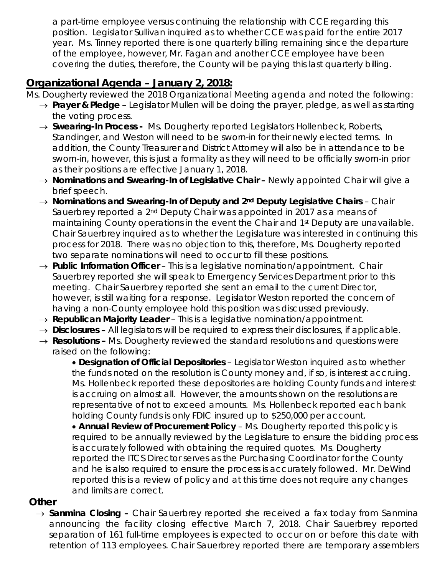a part-time employee versus continuing the relationship with CCE regarding this position. Legislator Sullivan inquired as to whether CCE was paid for the entire 2017 year. Ms. Tinney reported there is one quarterly billing remaining since the departure of the employee, however, Mr. Fagan and another CCE employee have been covering the duties, therefore, the County will be paying this last quarterly billing.

# **Organizational Agenda – January 2, 2018:**

- Ms. Dougherty reviewed the 2018 Organizational Meeting agenda and noted the following:
	- → *Prayer & Pledge* Legislator Mullen will be doing the prayer, pledge, as well as starting the voting process.
	- → *Swearing-In Process -* Ms. Dougherty reported Legislators Hollenbeck, Roberts, Standinger, and Weston will need to be sworn-in for their newly elected terms. In addition, the County Treasurer and District Attorney will also be in attendance to be sworn-in, however, this is just a formality as they will need to be officially sworn-in prior as their positions are effective January 1, 2018.
	- → *Nominations and Swearing-In of Legislative Chair –* Newly appointed Chair will give a brief speech.
	- → *Nominations and Swearing-In of Deputy and 2nd Deputy Legislative Chairs* Chair Sauerbrey reported a 2nd Deputy Chair was appointed in 2017 as a means of maintaining County operations in the event the Chair and 1<sup>st</sup> Deputy are unavailable. Chair Sauerbrey inquired as to whether the Legislature was interested in continuing this process for 2018. There was no objection to this, therefore, Ms. Dougherty reported two separate nominations will need to occur to fill these positions.
	- → *Public Information Officer*  This is a legislative nomination/appointment. Chair Sauerbrey reported she will speak to Emergency Services Department prior to this meeting. Chair Sauerbrey reported she sent an email to the current Director, however, is still waiting for a response. Legislator Weston reported the concern of having a non-County employee hold this position was discussed previously.
	- → *Republican Majority Leader* This is a legislative nomination/appointment.
	- → *Disclosures –* All legislators will be required to express their disclosures, if applicable.
	- → *Resolutions –* Ms. Dougherty reviewed the standard resolutions and questions were raised on the following:

• **Designation of Official Depositories** – Legislator Weston inquired as to whether the funds noted on the resolution is County money and, if so, is interest accruing. Ms. Hollenbeck reported these depositories are holding County funds and interest is accruing on almost all. However, the amounts shown on the resolutions are representative of not to exceed amounts. Ms. Hollenbeck reported each bank holding County funds is only FDIC insured up to \$250,000 per account.

• **Annual Review of Procurement Policy** – Ms. Dougherty reported this policy is required to be annually reviewed by the Legislature to ensure the bidding process is accurately followed with obtaining the required quotes. Ms. Dougherty reported the ITCS Director serves as the Purchasing Coordinator for the County and he is also required to ensure the process is accurately followed. Mr. DeWind reported this is a review of policy and at this time does not require any changes and limits are correct.

### **Other**

→ *Sanmina Closing –* Chair Sauerbrey reported she received a fax today from Sanmina announcing the facility closing effective March 7, 2018. Chair Sauerbrey reported separation of 161 full-time employees is expected to occur on or before this date with retention of 113 employees. Chair Sauerbrey reported there are temporary assemblers